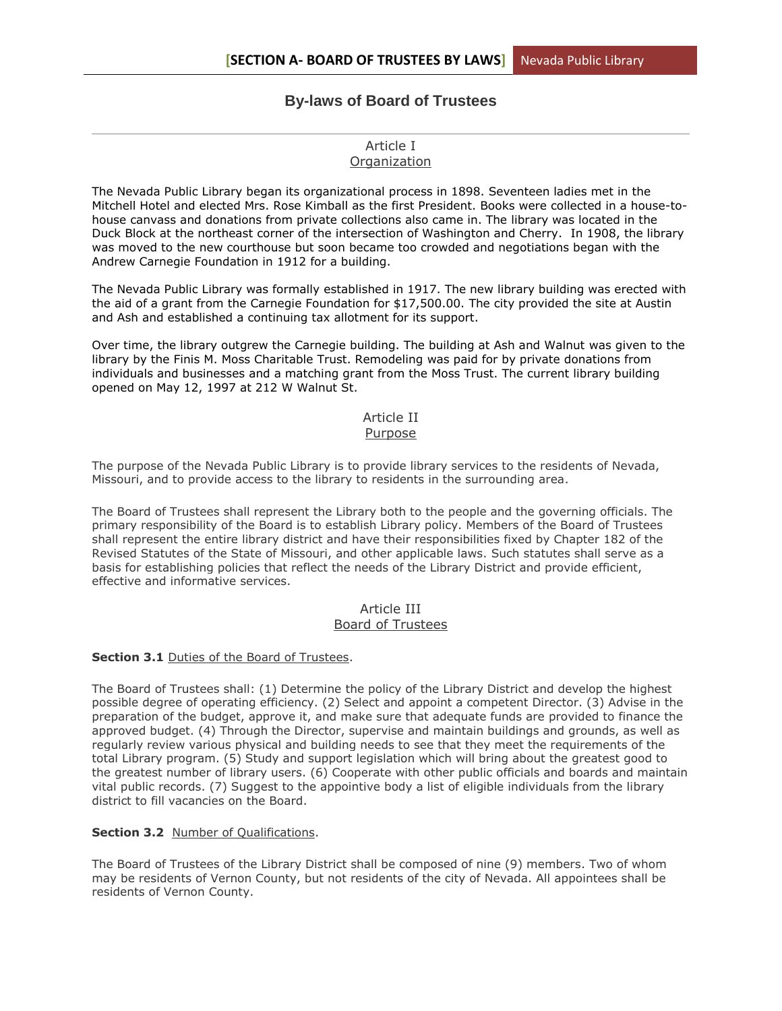# **By-laws of Board of Trustees**

# Article I **Organization**

The Nevada Public Library began its organizational process in 1898. Seventeen ladies met in the Mitchell Hotel and elected Mrs. Rose Kimball as the first President. Books were collected in a house-tohouse canvass and donations from private collections also came in. The library was located in the Duck Block at the northeast corner of the intersection of Washington and Cherry. In 1908, the library was moved to the new courthouse but soon became too crowded and negotiations began with the Andrew Carnegie Foundation in 1912 for a building.

The Nevada Public Library was formally established in 1917. The new library building was erected with the aid of a grant from the Carnegie Foundation for \$17,500.00. The city provided the site at Austin and Ash and established a continuing tax allotment for its support.

Over time, the library outgrew the Carnegie building. The building at Ash and Walnut was given to the library by the Finis M. Moss Charitable Trust. Remodeling was paid for by private donations from individuals and businesses and a matching grant from the Moss Trust. The current library building opened on May 12, 1997 at 212 W Walnut St.

# Article II

# Purpose

The purpose of the Nevada Public Library is to provide library services to the residents of Nevada, Missouri, and to provide access to the library to residents in the surrounding area.

The Board of Trustees shall represent the Library both to the people and the governing officials. The primary responsibility of the Board is to establish Library policy. Members of the Board of Trustees shall represent the entire library district and have their responsibilities fixed by Chapter 182 of the Revised Statutes of the State of Missouri, and other applicable laws. Such statutes shall serve as a basis for establishing policies that reflect the needs of the Library District and provide efficient, effective and informative services.

# Article III Board of Trustees

#### **Section 3.1** Duties of the Board of Trustees.

The Board of Trustees shall: (1) Determine the policy of the Library District and develop the highest possible degree of operating efficiency. (2) Select and appoint a competent Director. (3) Advise in the preparation of the budget, approve it, and make sure that adequate funds are provided to finance the approved budget. (4) Through the Director, supervise and maintain buildings and grounds, as well as regularly review various physical and building needs to see that they meet the requirements of the total Library program. (5) Study and support legislation which will bring about the greatest good to the greatest number of library users. (6) Cooperate with other public officials and boards and maintain vital public records. (7) Suggest to the appointive body a list of eligible individuals from the library district to fill vacancies on the Board.

# **Section 3.2** Number of Qualifications.

The Board of Trustees of the Library District shall be composed of nine (9) members. Two of whom may be residents of Vernon County, but not residents of the city of Nevada. All appointees shall be residents of Vernon County.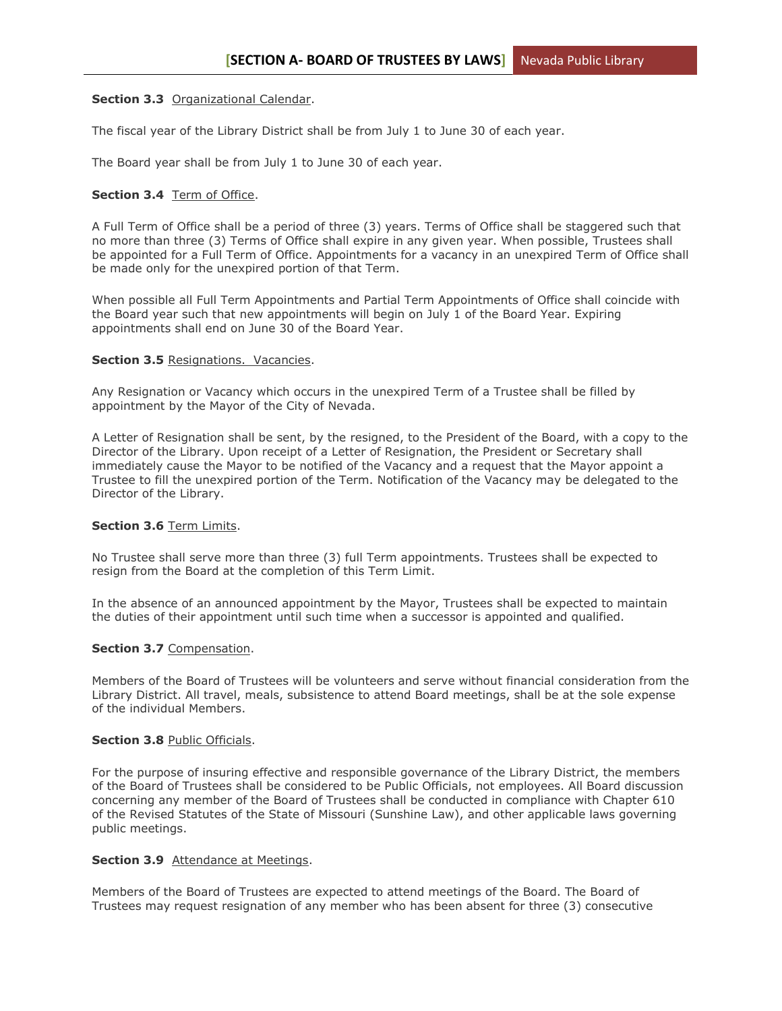### **Section 3.3** Organizational Calendar.

The fiscal year of the Library District shall be from July 1 to June 30 of each year.

The Board year shall be from July 1 to June 30 of each year.

### **Section 3.4** Term of Office.

A Full Term of Office shall be a period of three (3) years. Terms of Office shall be staggered such that no more than three (3) Terms of Office shall expire in any given year. When possible, Trustees shall be appointed for a Full Term of Office. Appointments for a vacancy in an unexpired Term of Office shall be made only for the unexpired portion of that Term.

When possible all Full Term Appointments and Partial Term Appointments of Office shall coincide with the Board year such that new appointments will begin on July 1 of the Board Year. Expiring appointments shall end on June 30 of the Board Year.

#### **Section 3.5** Resignations. Vacancies.

Any Resignation or Vacancy which occurs in the unexpired Term of a Trustee shall be filled by appointment by the Mayor of the City of Nevada.

A Letter of Resignation shall be sent, by the resigned, to the President of the Board, with a copy to the Director of the Library. Upon receipt of a Letter of Resignation, the President or Secretary shall immediately cause the Mayor to be notified of the Vacancy and a request that the Mayor appoint a Trustee to fill the unexpired portion of the Term. Notification of the Vacancy may be delegated to the Director of the Library.

# **Section 3.6** Term Limits.

No Trustee shall serve more than three (3) full Term appointments. Trustees shall be expected to resign from the Board at the completion of this Term Limit.

In the absence of an announced appointment by the Mayor, Trustees shall be expected to maintain the duties of their appointment until such time when a successor is appointed and qualified.

#### **Section 3.7** Compensation.

Members of the Board of Trustees will be volunteers and serve without financial consideration from the Library District. All travel, meals, subsistence to attend Board meetings, shall be at the sole expense of the individual Members.

#### **Section 3.8** Public Officials.

For the purpose of insuring effective and responsible governance of the Library District, the members of the Board of Trustees shall be considered to be Public Officials, not employees. All Board discussion concerning any member of the Board of Trustees shall be conducted in compliance with Chapter 610 of the Revised Statutes of the State of Missouri (Sunshine Law), and other applicable laws governing public meetings.

#### **Section 3.9** Attendance at Meetings.

Members of the Board of Trustees are expected to attend meetings of the Board. The Board of Trustees may request resignation of any member who has been absent for three (3) consecutive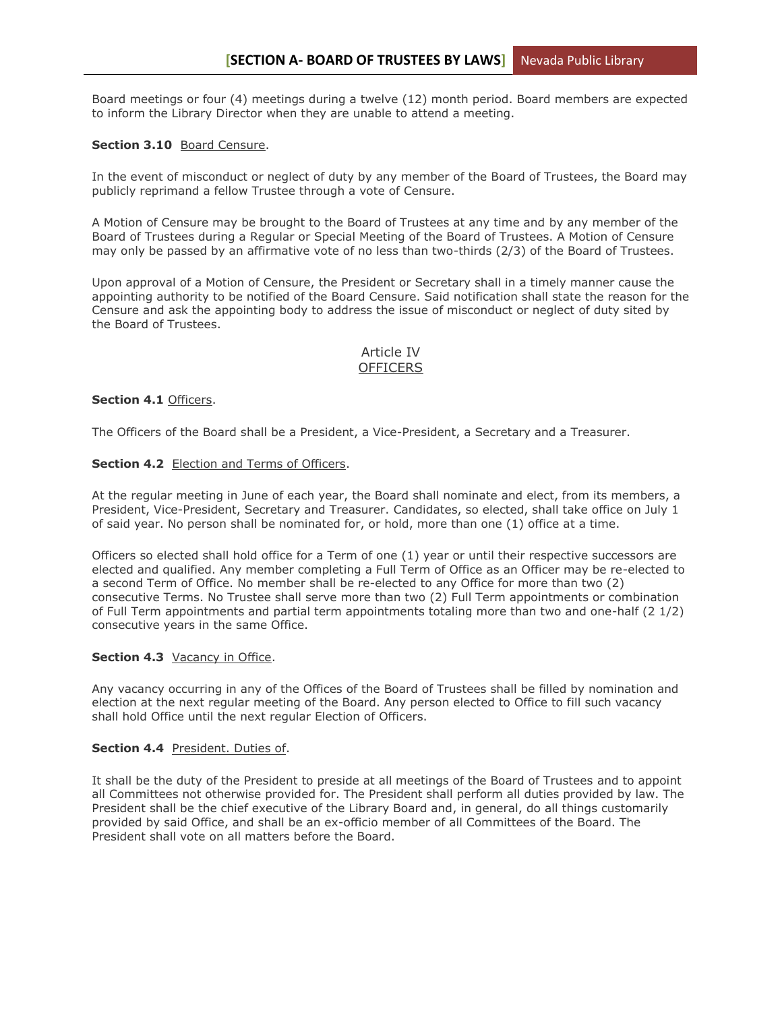Board meetings or four (4) meetings during a twelve (12) month period. Board members are expected to inform the Library Director when they are unable to attend a meeting.

### **Section 3.10** Board Censure.

In the event of misconduct or neglect of duty by any member of the Board of Trustees, the Board may publicly reprimand a fellow Trustee through a vote of Censure.

A Motion of Censure may be brought to the Board of Trustees at any time and by any member of the Board of Trustees during a Regular or Special Meeting of the Board of Trustees. A Motion of Censure may only be passed by an affirmative vote of no less than two-thirds (2/3) of the Board of Trustees.

Upon approval of a Motion of Censure, the President or Secretary shall in a timely manner cause the appointing authority to be notified of the Board Censure. Said notification shall state the reason for the Censure and ask the appointing body to address the issue of misconduct or neglect of duty sited by the Board of Trustees.

### Article IV **OFFICERS**

### **Section 4.1** Officers.

The Officers of the Board shall be a President, a Vice-President, a Secretary and a Treasurer.

#### **Section 4.2** Election and Terms of Officers.

At the regular meeting in June of each year, the Board shall nominate and elect, from its members, a President, Vice-President, Secretary and Treasurer. Candidates, so elected, shall take office on July 1 of said year. No person shall be nominated for, or hold, more than one (1) office at a time.

Officers so elected shall hold office for a Term of one (1) year or until their respective successors are elected and qualified. Any member completing a Full Term of Office as an Officer may be re-elected to a second Term of Office. No member shall be re-elected to any Office for more than two (2) consecutive Terms. No Trustee shall serve more than two (2) Full Term appointments or combination of Full Term appointments and partial term appointments totaling more than two and one-half (2 1/2) consecutive years in the same Office.

#### **Section 4.3** Vacancy in Office.

Any vacancy occurring in any of the Offices of the Board of Trustees shall be filled by nomination and election at the next regular meeting of the Board. Any person elected to Office to fill such vacancy shall hold Office until the next regular Election of Officers.

#### **Section 4.4** President. Duties of.

It shall be the duty of the President to preside at all meetings of the Board of Trustees and to appoint all Committees not otherwise provided for. The President shall perform all duties provided by law. The President shall be the chief executive of the Library Board and, in general, do all things customarily provided by said Office, and shall be an ex-officio member of all Committees of the Board. The President shall vote on all matters before the Board.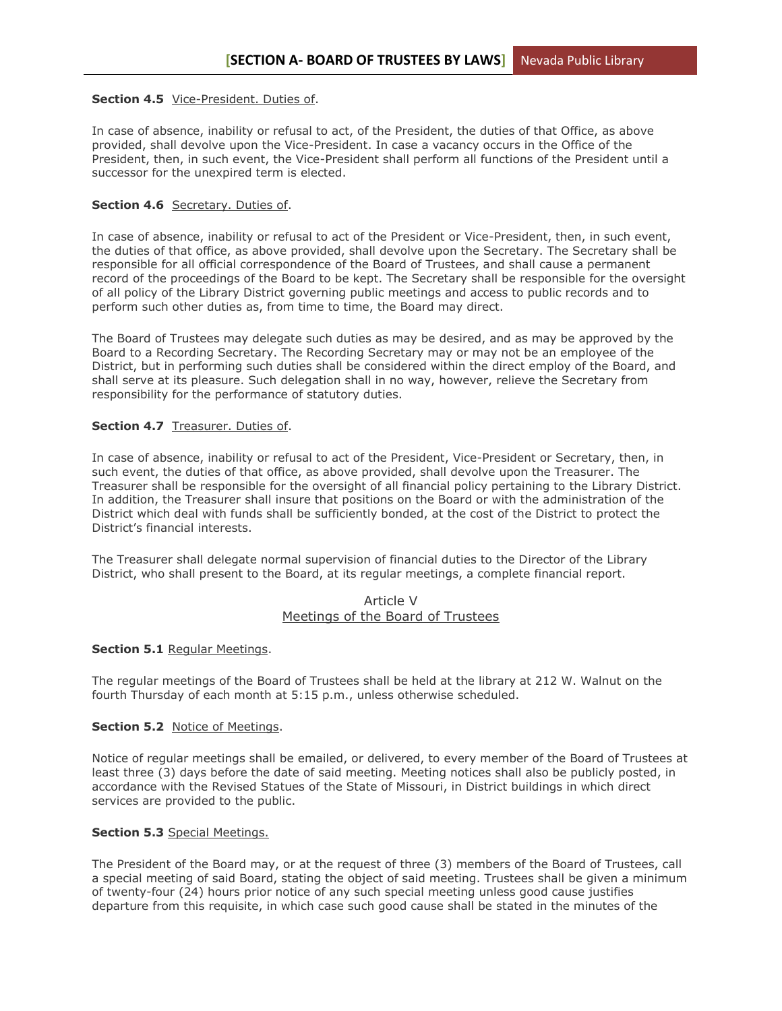# **Section 4.5** Vice-President. Duties of.

In case of absence, inability or refusal to act, of the President, the duties of that Office, as above provided, shall devolve upon the Vice-President. In case a vacancy occurs in the Office of the President, then, in such event, the Vice-President shall perform all functions of the President until a successor for the unexpired term is elected.

#### Section 4.6 Secretary. Duties of.

In case of absence, inability or refusal to act of the President or Vice-President, then, in such event, the duties of that office, as above provided, shall devolve upon the Secretary. The Secretary shall be responsible for all official correspondence of the Board of Trustees, and shall cause a permanent record of the proceedings of the Board to be kept. The Secretary shall be responsible for the oversight of all policy of the Library District governing public meetings and access to public records and to perform such other duties as, from time to time, the Board may direct.

The Board of Trustees may delegate such duties as may be desired, and as may be approved by the Board to a Recording Secretary. The Recording Secretary may or may not be an employee of the District, but in performing such duties shall be considered within the direct employ of the Board, and shall serve at its pleasure. Such delegation shall in no way, however, relieve the Secretary from responsibility for the performance of statutory duties.

### **Section 4.7** Treasurer. Duties of.

In case of absence, inability or refusal to act of the President, Vice-President or Secretary, then, in such event, the duties of that office, as above provided, shall devolve upon the Treasurer. The Treasurer shall be responsible for the oversight of all financial policy pertaining to the Library District. In addition, the Treasurer shall insure that positions on the Board or with the administration of the District which deal with funds shall be sufficiently bonded, at the cost of the District to protect the District's financial interests.

The Treasurer shall delegate normal supervision of financial duties to the Director of the Library District, who shall present to the Board, at its regular meetings, a complete financial report.

# Article V Meetings of the Board of Trustees

#### **Section 5.1** Regular Meetings.

The regular meetings of the Board of Trustees shall be held at the library at 212 W. Walnut on the fourth Thursday of each month at 5:15 p.m., unless otherwise scheduled.

# **Section 5.2** Notice of Meetings.

Notice of regular meetings shall be emailed, or delivered, to every member of the Board of Trustees at least three (3) days before the date of said meeting. Meeting notices shall also be publicly posted, in accordance with the Revised Statues of the State of Missouri, in District buildings in which direct services are provided to the public.

# **Section 5.3** Special Meetings.

The President of the Board may, or at the request of three (3) members of the Board of Trustees, call a special meeting of said Board, stating the object of said meeting. Trustees shall be given a minimum of twenty-four (24) hours prior notice of any such special meeting unless good cause justifies departure from this requisite, in which case such good cause shall be stated in the minutes of the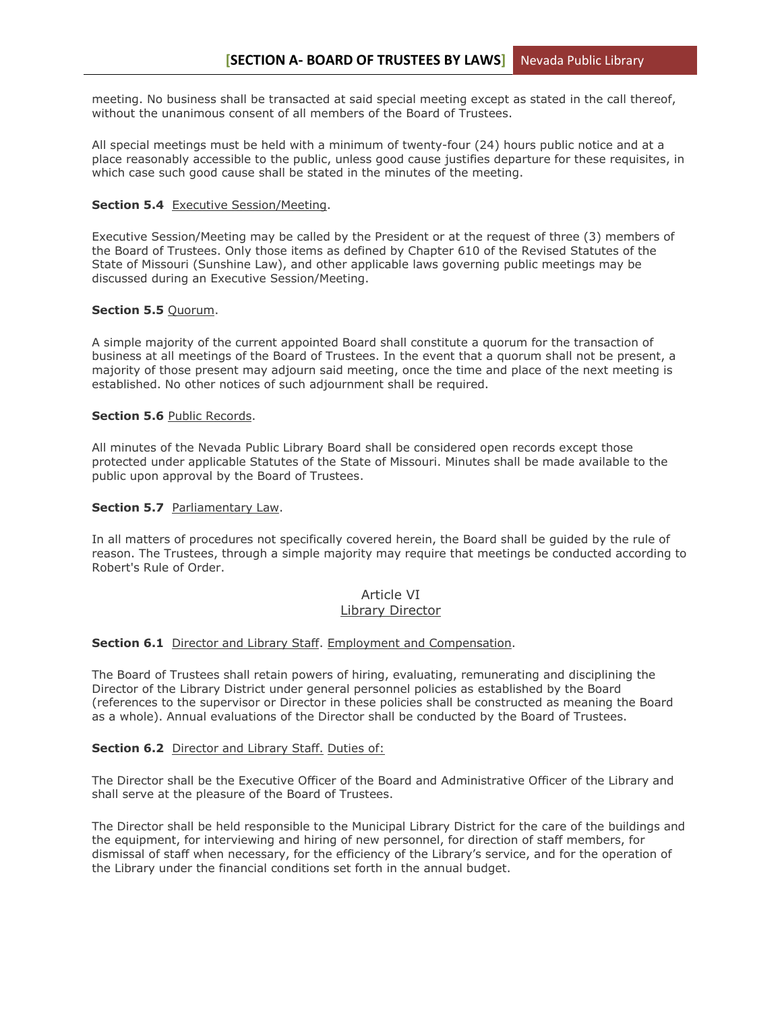meeting. No business shall be transacted at said special meeting except as stated in the call thereof, without the unanimous consent of all members of the Board of Trustees.

All special meetings must be held with a minimum of twenty-four (24) hours public notice and at a place reasonably accessible to the public, unless good cause justifies departure for these requisites, in which case such good cause shall be stated in the minutes of the meeting.

#### **Section 5.4** Executive Session/Meeting.

Executive Session/Meeting may be called by the President or at the request of three (3) members of the Board of Trustees. Only those items as defined by Chapter 610 of the Revised Statutes of the State of Missouri (Sunshine Law), and other applicable laws governing public meetings may be discussed during an Executive Session/Meeting.

### **Section 5.5** Quorum.

A simple majority of the current appointed Board shall constitute a quorum for the transaction of business at all meetings of the Board of Trustees. In the event that a quorum shall not be present, a majority of those present may adjourn said meeting, once the time and place of the next meeting is established. No other notices of such adjournment shall be required.

### **Section 5.6** Public Records.

All minutes of the Nevada Public Library Board shall be considered open records except those protected under applicable Statutes of the State of Missouri. Minutes shall be made available to the public upon approval by the Board of Trustees.

### **Section 5.7** Parliamentary Law.

In all matters of procedures not specifically covered herein, the Board shall be guided by the rule of reason. The Trustees, through a simple majority may require that meetings be conducted according to Robert's Rule of Order.

# Article VI Library Director

# **Section 6.1** Director and Library Staff. Employment and Compensation.

The Board of Trustees shall retain powers of hiring, evaluating, remunerating and disciplining the Director of the Library District under general personnel policies as established by the Board (references to the supervisor or Director in these policies shall be constructed as meaning the Board as a whole). Annual evaluations of the Director shall be conducted by the Board of Trustees.

# **Section 6.2** Director and Library Staff. Duties of:

The Director shall be the Executive Officer of the Board and Administrative Officer of the Library and shall serve at the pleasure of the Board of Trustees.

The Director shall be held responsible to the Municipal Library District for the care of the buildings and the equipment, for interviewing and hiring of new personnel, for direction of staff members, for dismissal of staff when necessary, for the efficiency of the Library's service, and for the operation of the Library under the financial conditions set forth in the annual budget.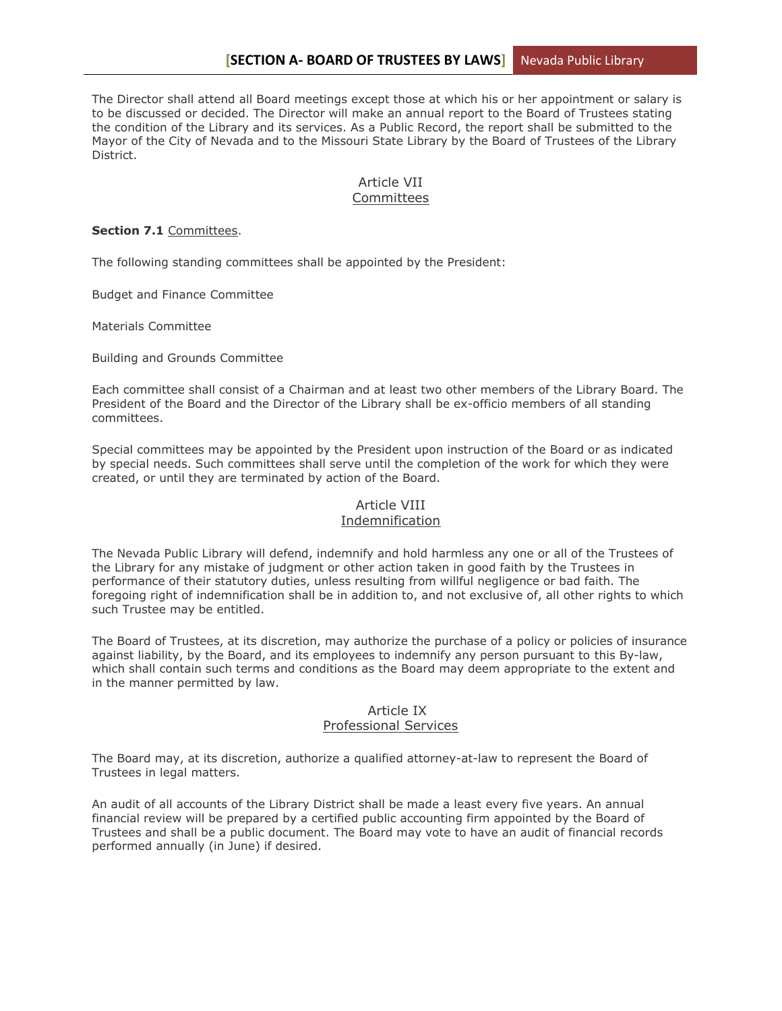The Director shall attend all Board meetings except those at which his or her appointment or salary is to be discussed or decided. The Director will make an annual report to the Board of Trustees stating the condition of the Library and its services. As a Public Record, the report shall be submitted to the Mayor of the City of Nevada and to the Missouri State Library by the Board of Trustees of the Library District.

# Article VII Committees

#### **Section 7.1** Committees.

The following standing committees shall be appointed by the President:

Budget and Finance Committee

Materials Committee

Building and Grounds Committee

Each committee shall consist of a Chairman and at least two other members of the Library Board. The President of the Board and the Director of the Library shall be ex-officio members of all standing committees.

Special committees may be appointed by the President upon instruction of the Board or as indicated by special needs. Such committees shall serve until the completion of the work for which they were created, or until they are terminated by action of the Board.

# Article VIII Indemnification

The Nevada Public Library will defend, indemnify and hold harmless any one or all of the Trustees of the Library for any mistake of judgment or other action taken in good faith by the Trustees in performance of their statutory duties, unless resulting from willful negligence or bad faith. The foregoing right of indemnification shall be in addition to, and not exclusive of, all other rights to which such Trustee may be entitled.

The Board of Trustees, at its discretion, may authorize the purchase of a policy or policies of insurance against liability, by the Board, and its employees to indemnify any person pursuant to this By-law, which shall contain such terms and conditions as the Board may deem appropriate to the extent and in the manner permitted by law.

#### Article IX

#### Professional Services

The Board may, at its discretion, authorize a qualified attorney-at-law to represent the Board of Trustees in legal matters.

An audit of all accounts of the Library District shall be made a least every five years. An annual financial review will be prepared by a certified public accounting firm appointed by the Board of Trustees and shall be a public document. The Board may vote to have an audit of financial records performed annually (in June) if desired.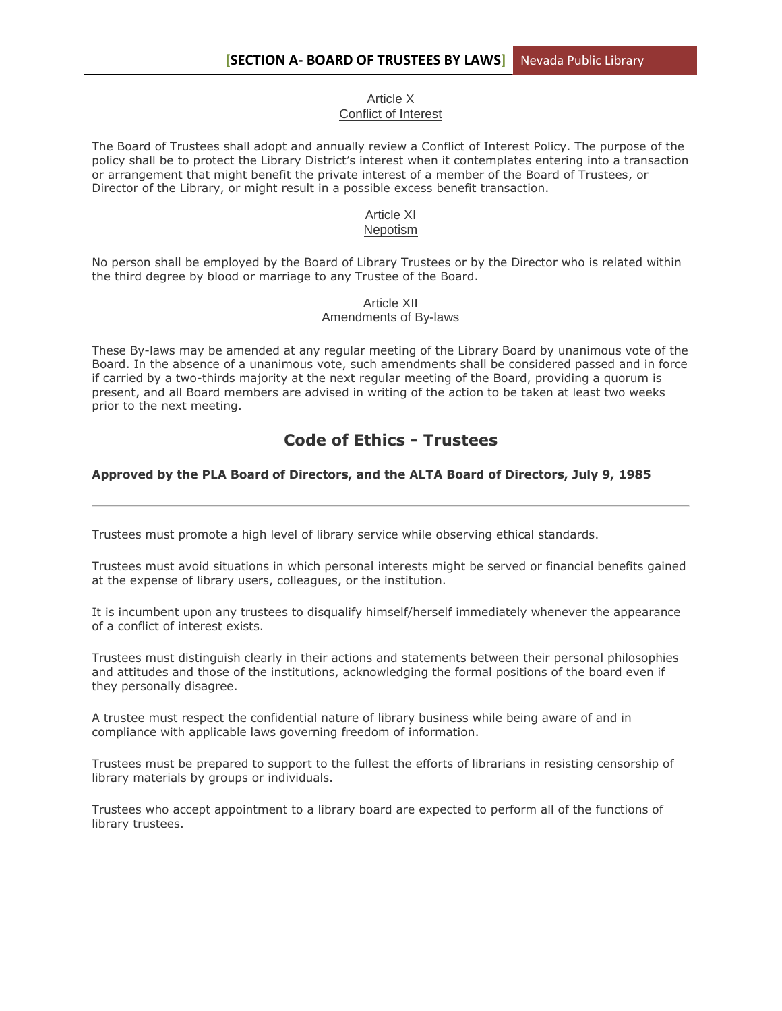### Article X Conflict of Interest

The Board of Trustees shall adopt and annually review a Conflict of Interest Policy. The purpose of the policy shall be to protect the Library District's interest when it contemplates entering into a transaction or arrangement that might benefit the private interest of a member of the Board of Trustees, or Director of the Library, or might result in a possible excess benefit transaction.

#### Article XI Nepotism

No person shall be employed by the Board of Library Trustees or by the Director who is related within the third degree by blood or marriage to any Trustee of the Board.

# Article XII Amendments of By-laws

These By-laws may be amended at any regular meeting of the Library Board by unanimous vote of the Board. In the absence of a unanimous vote, such amendments shall be considered passed and in force if carried by a two-thirds majority at the next regular meeting of the Board, providing a quorum is present, and all Board members are advised in writing of the action to be taken at least two weeks prior to the next meeting.

# **Code of Ethics - Trustees**

# **Approved by the PLA Board of Directors, and the ALTA Board of Directors, July 9, 1985**

Trustees must promote a high level of library service while observing ethical standards.

Trustees must avoid situations in which personal interests might be served or financial benefits gained at the expense of library users, colleagues, or the institution.

It is incumbent upon any trustees to disqualify himself/herself immediately whenever the appearance of a conflict of interest exists.

Trustees must distinguish clearly in their actions and statements between their personal philosophies and attitudes and those of the institutions, acknowledging the formal positions of the board even if they personally disagree.

A trustee must respect the confidential nature of library business while being aware of and in compliance with applicable laws governing freedom of information.

Trustees must be prepared to support to the fullest the efforts of librarians in resisting censorship of library materials by groups or individuals.

Trustees who accept appointment to a library board are expected to perform all of the functions of library trustees.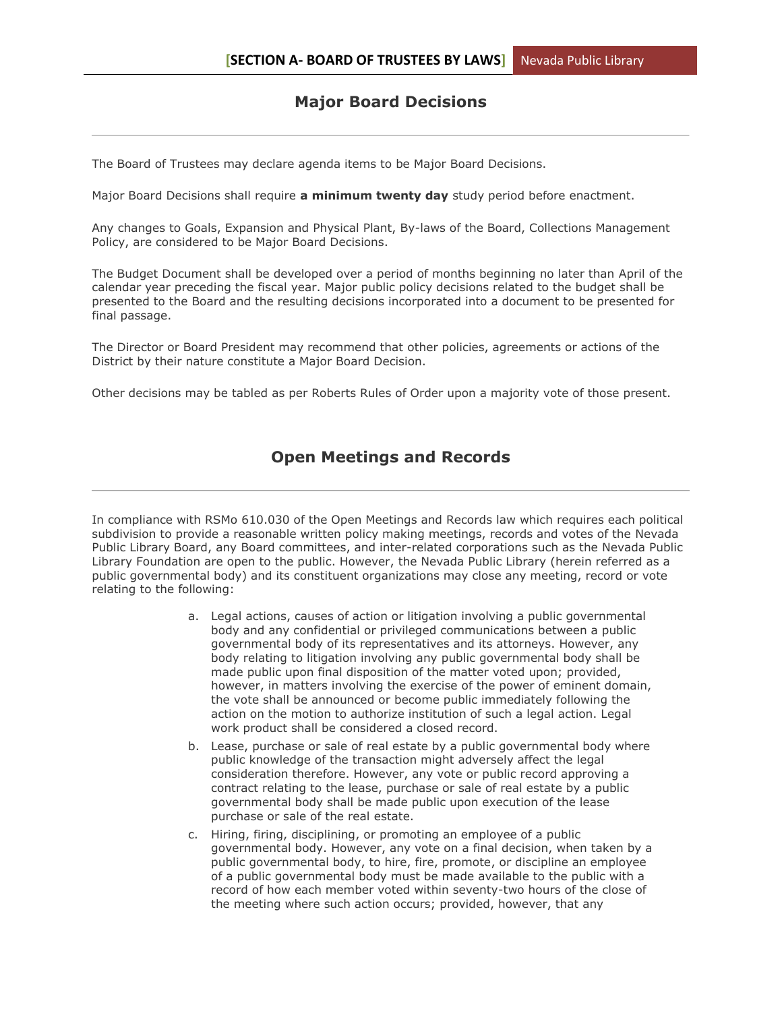# **Major Board Decisions**

The Board of Trustees may declare agenda items to be Major Board Decisions.

Major Board Decisions shall require **a minimum twenty day** study period before enactment.

Any changes to Goals, Expansion and Physical Plant, By-laws of the Board, Collections Management Policy, are considered to be Major Board Decisions.

The Budget Document shall be developed over a period of months beginning no later than April of the calendar year preceding the fiscal year. Major public policy decisions related to the budget shall be presented to the Board and the resulting decisions incorporated into a document to be presented for final passage.

The Director or Board President may recommend that other policies, agreements or actions of the District by their nature constitute a Major Board Decision.

Other decisions may be tabled as per Roberts Rules of Order upon a majority vote of those present.

# **Open Meetings and Records**

In compliance with RSMo 610.030 of the Open Meetings and Records law which requires each political subdivision to provide a reasonable written policy making meetings, records and votes of the Nevada Public Library Board, any Board committees, and inter-related corporations such as the Nevada Public Library Foundation are open to the public. However, the Nevada Public Library (herein referred as a public governmental body) and its constituent organizations may close any meeting, record or vote relating to the following:

- a. Legal actions, causes of action or litigation involving a public governmental body and any confidential or privileged communications between a public governmental body of its representatives and its attorneys. However, any body relating to litigation involving any public governmental body shall be made public upon final disposition of the matter voted upon; provided, however, in matters involving the exercise of the power of eminent domain, the vote shall be announced or become public immediately following the action on the motion to authorize institution of such a legal action. Legal work product shall be considered a closed record.
- b. Lease, purchase or sale of real estate by a public governmental body where public knowledge of the transaction might adversely affect the legal consideration therefore. However, any vote or public record approving a contract relating to the lease, purchase or sale of real estate by a public governmental body shall be made public upon execution of the lease purchase or sale of the real estate.
- c. Hiring, firing, disciplining, or promoting an employee of a public governmental body. However, any vote on a final decision, when taken by a public governmental body, to hire, fire, promote, or discipline an employee of a public governmental body must be made available to the public with a record of how each member voted within seventy-two hours of the close of the meeting where such action occurs; provided, however, that any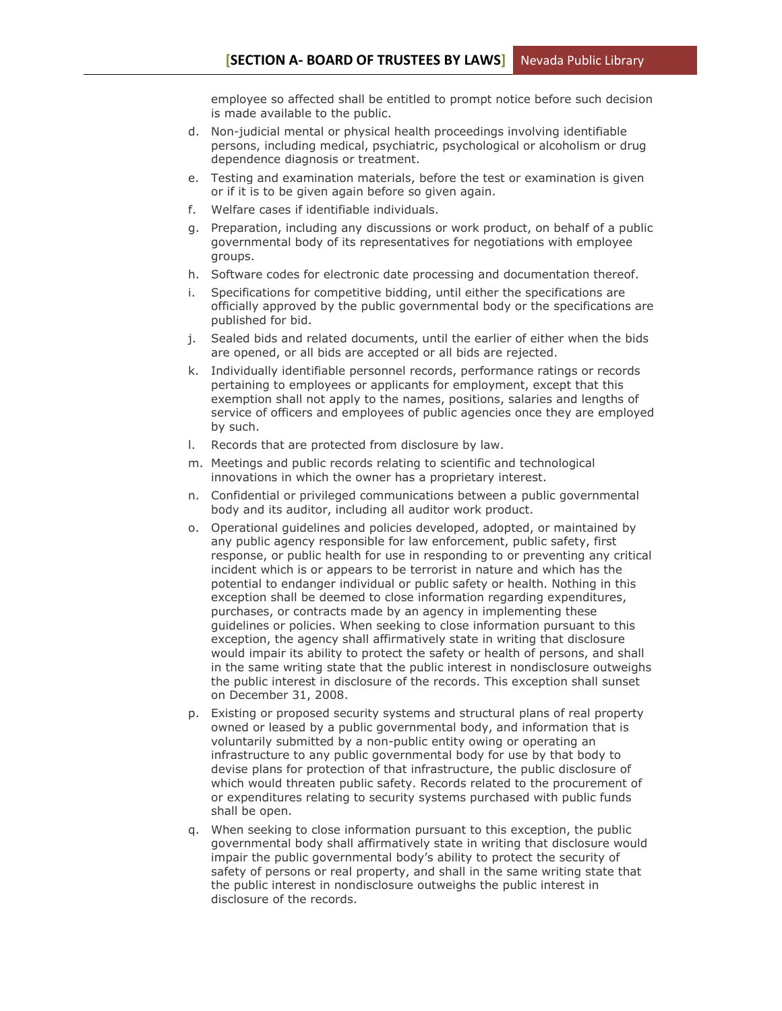employee so affected shall be entitled to prompt notice before such decision is made available to the public.

- d. Non-judicial mental or physical health proceedings involving identifiable persons, including medical, psychiatric, psychological or alcoholism or drug dependence diagnosis or treatment.
- e. Testing and examination materials, before the test or examination is given or if it is to be given again before so given again.
- f. Welfare cases if identifiable individuals.
- g. Preparation, including any discussions or work product, on behalf of a public governmental body of its representatives for negotiations with employee groups.
- h. Software codes for electronic date processing and documentation thereof.
- i. Specifications for competitive bidding, until either the specifications are officially approved by the public governmental body or the specifications are published for bid.
- j. Sealed bids and related documents, until the earlier of either when the bids are opened, or all bids are accepted or all bids are rejected.
- k. Individually identifiable personnel records, performance ratings or records pertaining to employees or applicants for employment, except that this exemption shall not apply to the names, positions, salaries and lengths of service of officers and employees of public agencies once they are employed by such.
- l. Records that are protected from disclosure by law.
- m. Meetings and public records relating to scientific and technological innovations in which the owner has a proprietary interest.
- n. Confidential or privileged communications between a public governmental body and its auditor, including all auditor work product.
- o. Operational guidelines and policies developed, adopted, or maintained by any public agency responsible for law enforcement, public safety, first response, or public health for use in responding to or preventing any critical incident which is or appears to be terrorist in nature and which has the potential to endanger individual or public safety or health. Nothing in this exception shall be deemed to close information regarding expenditures, purchases, or contracts made by an agency in implementing these guidelines or policies. When seeking to close information pursuant to this exception, the agency shall affirmatively state in writing that disclosure would impair its ability to protect the safety or health of persons, and shall in the same writing state that the public interest in nondisclosure outweighs the public interest in disclosure of the records. This exception shall sunset on December 31, 2008.
- p. Existing or proposed security systems and structural plans of real property owned or leased by a public governmental body, and information that is voluntarily submitted by a non-public entity owing or operating an infrastructure to any public governmental body for use by that body to devise plans for protection of that infrastructure, the public disclosure of which would threaten public safety. Records related to the procurement of or expenditures relating to security systems purchased with public funds shall be open.
- q. When seeking to close information pursuant to this exception, the public governmental body shall affirmatively state in writing that disclosure would impair the public governmental body's ability to protect the security of safety of persons or real property, and shall in the same writing state that the public interest in nondisclosure outweighs the public interest in disclosure of the records.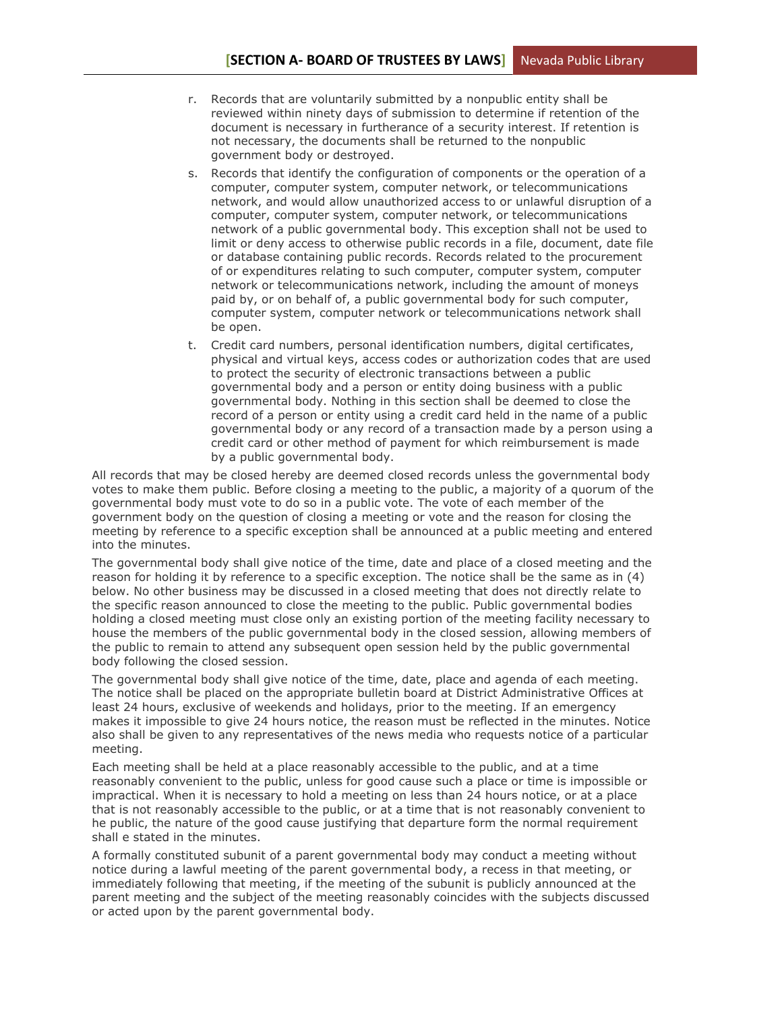- r. Records that are voluntarily submitted by a nonpublic entity shall be reviewed within ninety days of submission to determine if retention of the document is necessary in furtherance of a security interest. If retention is not necessary, the documents shall be returned to the nonpublic government body or destroyed.
- s. Records that identify the configuration of components or the operation of a computer, computer system, computer network, or telecommunications network, and would allow unauthorized access to or unlawful disruption of a computer, computer system, computer network, or telecommunications network of a public governmental body. This exception shall not be used to limit or deny access to otherwise public records in a file, document, date file or database containing public records. Records related to the procurement of or expenditures relating to such computer, computer system, computer network or telecommunications network, including the amount of moneys paid by, or on behalf of, a public governmental body for such computer, computer system, computer network or telecommunications network shall be open.
- t. Credit card numbers, personal identification numbers, digital certificates, physical and virtual keys, access codes or authorization codes that are used to protect the security of electronic transactions between a public governmental body and a person or entity doing business with a public governmental body. Nothing in this section shall be deemed to close the record of a person or entity using a credit card held in the name of a public governmental body or any record of a transaction made by a person using a credit card or other method of payment for which reimbursement is made by a public governmental body.

All records that may be closed hereby are deemed closed records unless the governmental body votes to make them public. Before closing a meeting to the public, a majority of a quorum of the governmental body must vote to do so in a public vote. The vote of each member of the government body on the question of closing a meeting or vote and the reason for closing the meeting by reference to a specific exception shall be announced at a public meeting and entered into the minutes.

The governmental body shall give notice of the time, date and place of a closed meeting and the reason for holding it by reference to a specific exception. The notice shall be the same as in (4) below. No other business may be discussed in a closed meeting that does not directly relate to the specific reason announced to close the meeting to the public. Public governmental bodies holding a closed meeting must close only an existing portion of the meeting facility necessary to house the members of the public governmental body in the closed session, allowing members of the public to remain to attend any subsequent open session held by the public governmental body following the closed session.

The governmental body shall give notice of the time, date, place and agenda of each meeting. The notice shall be placed on the appropriate bulletin board at District Administrative Offices at least 24 hours, exclusive of weekends and holidays, prior to the meeting. If an emergency makes it impossible to give 24 hours notice, the reason must be reflected in the minutes. Notice also shall be given to any representatives of the news media who requests notice of a particular meeting.

Each meeting shall be held at a place reasonably accessible to the public, and at a time reasonably convenient to the public, unless for good cause such a place or time is impossible or impractical. When it is necessary to hold a meeting on less than 24 hours notice, or at a place that is not reasonably accessible to the public, or at a time that is not reasonably convenient to he public, the nature of the good cause justifying that departure form the normal requirement shall e stated in the minutes.

A formally constituted subunit of a parent governmental body may conduct a meeting without notice during a lawful meeting of the parent governmental body, a recess in that meeting, or immediately following that meeting, if the meeting of the subunit is publicly announced at the parent meeting and the subject of the meeting reasonably coincides with the subjects discussed or acted upon by the parent governmental body.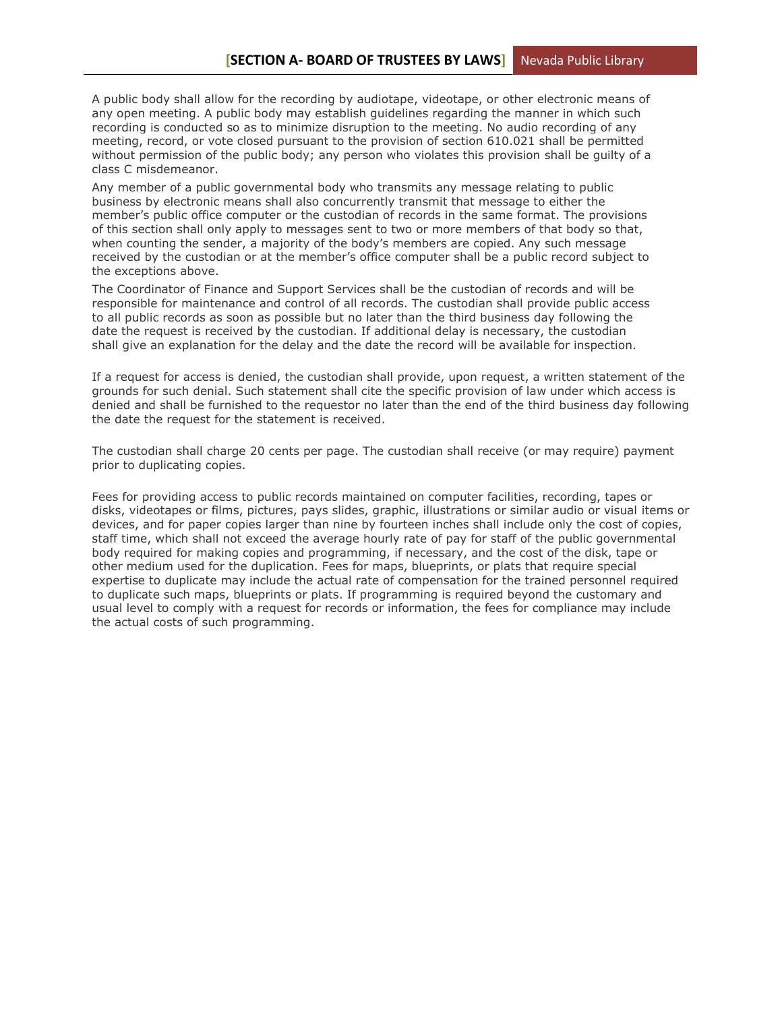A public body shall allow for the recording by audiotape, videotape, or other electronic means of any open meeting. A public body may establish guidelines regarding the manner in which such recording is conducted so as to minimize disruption to the meeting. No audio recording of any meeting, record, or vote closed pursuant to the provision of section 610.021 shall be permitted without permission of the public body; any person who violates this provision shall be guilty of a class C misdemeanor.

Any member of a public governmental body who transmits any message relating to public business by electronic means shall also concurrently transmit that message to either the member's public office computer or the custodian of records in the same format. The provisions of this section shall only apply to messages sent to two or more members of that body so that, when counting the sender, a majority of the body's members are copied. Any such message received by the custodian or at the member's office computer shall be a public record subject to the exceptions above.

The Coordinator of Finance and Support Services shall be the custodian of records and will be responsible for maintenance and control of all records. The custodian shall provide public access to all public records as soon as possible but no later than the third business day following the date the request is received by the custodian. If additional delay is necessary, the custodian shall give an explanation for the delay and the date the record will be available for inspection.

If a request for access is denied, the custodian shall provide, upon request, a written statement of the grounds for such denial. Such statement shall cite the specific provision of law under which access is denied and shall be furnished to the requestor no later than the end of the third business day following the date the request for the statement is received.

The custodian shall charge 20 cents per page. The custodian shall receive (or may require) payment prior to duplicating copies.

Fees for providing access to public records maintained on computer facilities, recording, tapes or disks, videotapes or films, pictures, pays slides, graphic, illustrations or similar audio or visual items or devices, and for paper copies larger than nine by fourteen inches shall include only the cost of copies, staff time, which shall not exceed the average hourly rate of pay for staff of the public governmental body required for making copies and programming, if necessary, and the cost of the disk, tape or other medium used for the duplication. Fees for maps, blueprints, or plats that require special expertise to duplicate may include the actual rate of compensation for the trained personnel required to duplicate such maps, blueprints or plats. If programming is required beyond the customary and usual level to comply with a request for records or information, the fees for compliance may include the actual costs of such programming.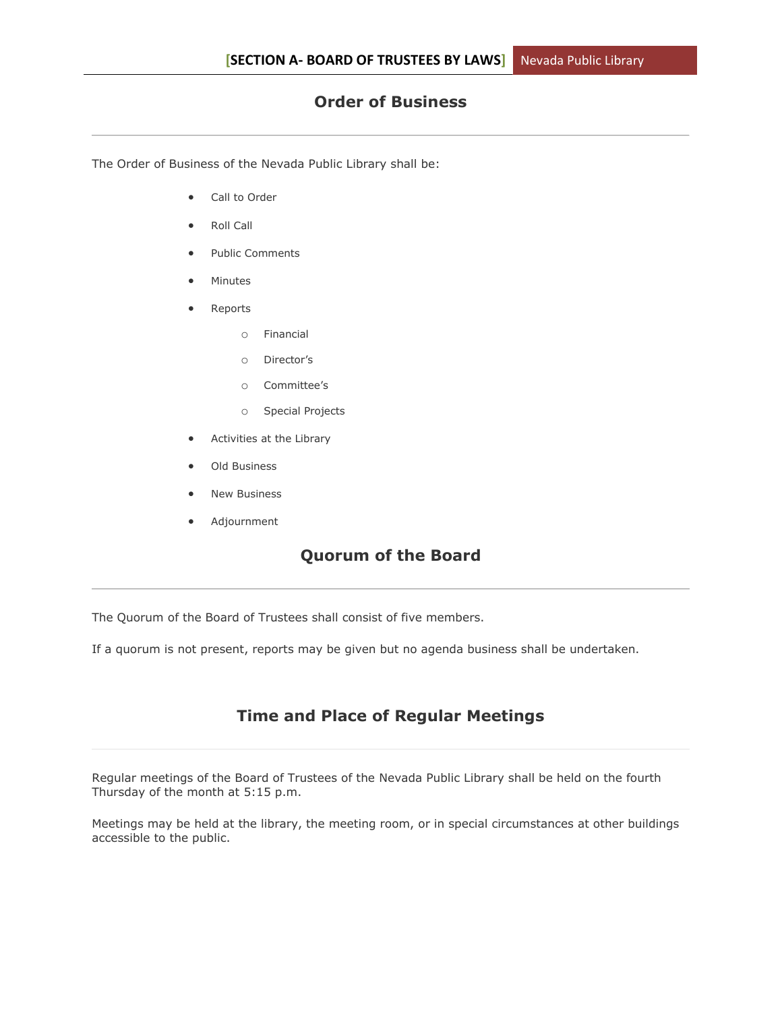# **Order of Business**

The Order of Business of the Nevada Public Library shall be:

- Call to Order
- Roll Call
- Public Comments
- Minutes
- Reports
	- o Financial
	- o Director's
	- o Committee's
	- o Special Projects
- Activities at the Library
- Old Business
- New Business
- Adjournment

# **Quorum of the Board**

The Quorum of the Board of Trustees shall consist of five members.

If a quorum is not present, reports may be given but no agenda business shall be undertaken.

# **Time and Place of Regular Meetings**

Regular meetings of the Board of Trustees of the Nevada Public Library shall be held on the fourth Thursday of the month at 5:15 p.m.

Meetings may be held at the library, the meeting room, or in special circumstances at other buildings accessible to the public.